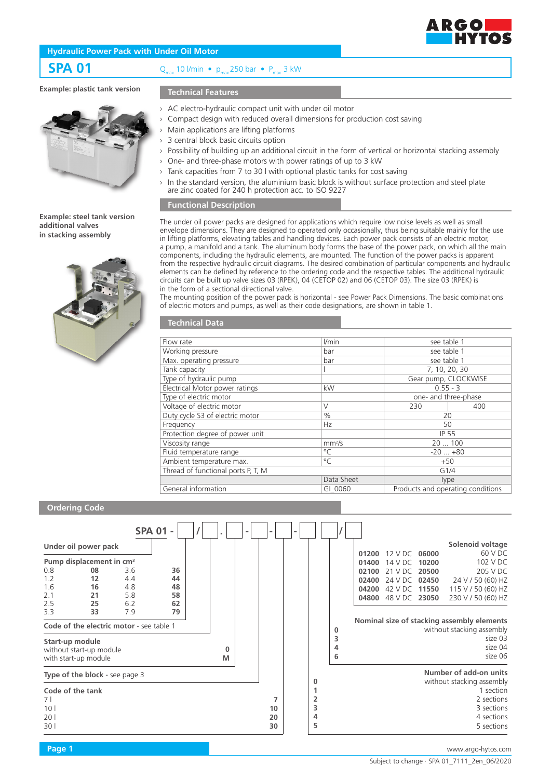

## **Hydraulic Power Pack with Under Oil Motor**

**SPA 01** Q<sub>max</sub> 10 l/min •  $p_{\text{max}}$  250 bar •  $P_{\text{max}}$  3 kW

# **Example: plastic tank version**

# **Technical Features**

### **Example: steel tank version additional valves in stacking assembly**



- › AC electro-hydraulic compact unit with under oil motor
	- Compact design with reduced overall dimensions for production cost saving
- Main applications are lifting platforms
- 3 central block basic circuits option
- › Possibility of building up an additional circuit in the form of vertical or horizontal stacking assembly
- › One- and three-phase motors with power ratings of up to 3 kW
- Tank capacities from 7 to 30 l with optional plastic tanks for cost saving
- $\rightarrow$  In the standard version, the aluminium basic block is without surface protection and steel plate are zinc coated for 240 h protection acc. to ISO 9227

## **Functional Description**

The under oil power packs are designed for applications which require low noise levels as well as small envelope dimensions. They are designed to operated only occasionally, thus being suitable mainly for the use in lifting platforms, elevating tables and handling devices. Each power pack consists of an electric motor, a pump, a manifold and a tank. The aluminum body forms the base of the power pack, on which all the main components, including the hydraulic elements, are mounted. The function of the power packs is apparent from the respective hydraulic circuit diagrams. The desired combination of particular components and hydraulic elements can be defined by reference to the ordering code and the respective tables. The additional hydraulic circuits can be built up valve sizes 03 (RPEK), 04 (CETOP 02) and 06 (CETOP 03). The size 03 (RPEK) is in the form of a sectional directional valve.

The mounting position of the power pack is horizontal - see Power Pack Dimensions. The basic combinations of electric motors and pumps, as well as their code designations, are shown in table 1.

| <b>Technical Data</b> |  |
|-----------------------|--|
|                       |  |

| Flow rate                          | l/min              | see table 1          |                                   |  |  |
|------------------------------------|--------------------|----------------------|-----------------------------------|--|--|
| Working pressure                   | bar                | see table 1          |                                   |  |  |
| Max. operating pressure            | bar                | see table 1          |                                   |  |  |
| Tank capacity                      |                    | 7, 10, 20, 30        |                                   |  |  |
| Type of hydraulic pump             |                    | Gear pump, CLOCKWISE |                                   |  |  |
| Electrical Motor power ratings     | kW                 | $0.55 - 3$           |                                   |  |  |
| Type of electric motor             |                    | one- and three-phase |                                   |  |  |
| Voltage of electric motor          | $\vee$             | 230                  | 400                               |  |  |
| Duty cycle S3 of electric motor    | $\frac{0}{0}$      | 20                   |                                   |  |  |
| Frequency                          | Hz                 | 50                   |                                   |  |  |
| Protection degree of power unit    |                    | <b>IP 55</b>         |                                   |  |  |
| Viscosity range                    | mm <sup>2</sup> /s | 20100                |                                   |  |  |
| Fluid temperature range            | $^{\circ}$ C       | $-20+80$             |                                   |  |  |
| Ambient temperature max.           | $^{\circ}$ C       |                      | $+50$                             |  |  |
| Thread of functional ports P, T, M |                    | G1/4                 |                                   |  |  |
|                                    | Data Sheet         | Type                 |                                   |  |  |
| General information                | GI 0060            |                      | Products and operating conditions |  |  |

## **Ordering Code**

|                                                           |                                                                              |                                        | <b>SPA 01 -</b>                  |          | $\blacksquare$ | $\overline{\phantom{a}}$ |                  |                    |                                  |                                                |                         |                                                                                                                                                                            |
|-----------------------------------------------------------|------------------------------------------------------------------------------|----------------------------------------|----------------------------------|----------|----------------|--------------------------|------------------|--------------------|----------------------------------|------------------------------------------------|-------------------------|----------------------------------------------------------------------------------------------------------------------------------------------------------------------------|
|                                                           | Under oil power pack                                                         |                                        |                                  |          |                |                          |                  |                    |                                  |                                                |                         | Solenoid voltage                                                                                                                                                           |
|                                                           | Pump displacement in cm <sup>3</sup>                                         |                                        |                                  |          |                |                          |                  |                    | 01200<br>01400                   | 12 V DC<br>14 V DC                             | 06000<br>10200          | 60 V DC<br>102 V DC                                                                                                                                                        |
| 0.8<br>1.2<br>1.6<br>2.1<br>2.5<br>3.3<br>Start-up module | 08<br>12<br>16<br>21<br>25<br>33<br>Code of the electric motor - see table 1 | 3.6<br>4.4<br>4.8<br>5.8<br>6.2<br>7.9 | 36<br>44<br>48<br>58<br>62<br>79 | $\Omega$ |                |                          |                  | $\bf{0}$<br>3<br>4 | 02100<br>02400<br>04200<br>04800 | 21 V DC<br>24 V DC<br>42 V DC<br>48 V DC 23050 | 20500<br>02450<br>11550 | 205 V DC<br>24 V / 50 (60) HZ<br>115 V / 50 (60) HZ<br>230 V / 50 (60) HZ<br>Nominal size of stacking assembly elements<br>without stacking assembly<br>size 03<br>size 04 |
|                                                           | without start-up module<br>with start-up module                              |                                        |                                  | м        |                |                          |                  | 6                  |                                  |                                                |                         | size 06                                                                                                                                                                    |
|                                                           | Type of the block - see page 3                                               |                                        |                                  |          |                |                          | 0                |                    |                                  |                                                |                         | Number of add-on units<br>without stacking assembly                                                                                                                        |
| Code of the tank<br>71<br>10 <sub>1</sub><br>201<br>30    |                                                                              |                                        |                                  |          |                | 10<br>20<br>30           | 2<br>3<br>4<br>5 |                    |                                  |                                                |                         | 1 section<br>2 sections<br>3 sections<br>4 sections<br>5 sections                                                                                                          |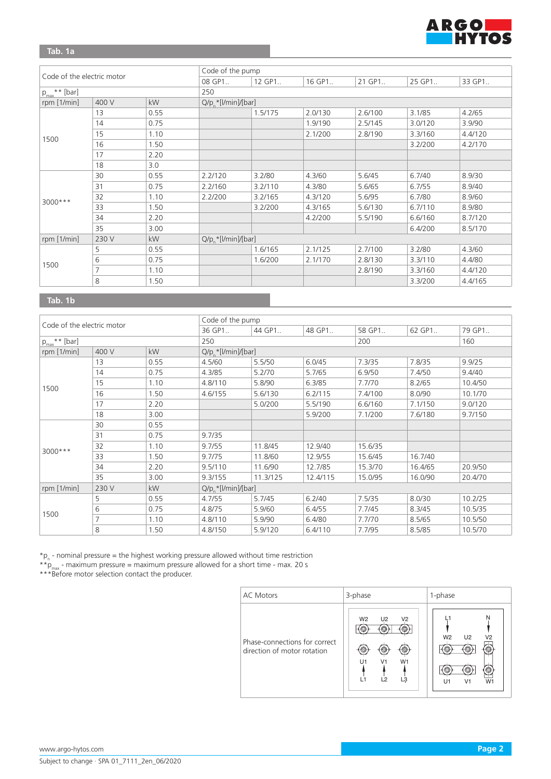

**Tab. 1a**

|                            |                |           | Code of the pump       |                      |         |         |         |         |  |  |
|----------------------------|----------------|-----------|------------------------|----------------------|---------|---------|---------|---------|--|--|
| Code of the electric motor |                | 08 GP1    | 12 GP1                 | 16 GP1               | 21 GP1  | 25 GP1  | 33 GP1  |         |  |  |
| $p_{max}$ ** [bar]         |                | 250       |                        |                      |         |         |         |         |  |  |
| rpm [1/min]                | 400 V          | kW        |                        | $Q/p^*$ [/min]/[bar] |         |         |         |         |  |  |
|                            | 13             | 0.55      |                        | 1.5/175              | 2.0/130 | 2.6/100 | 3.1/85  | 4.2/65  |  |  |
|                            | 14             | 0.75      |                        |                      | 1.9/190 | 2.5/145 | 3.0/120 | 3.9/90  |  |  |
|                            | 15             | 1.10      |                        |                      | 2.1/200 | 2.8/190 | 3.3/160 | 4.4/120 |  |  |
| 1500                       | 16             | 1.50      |                        |                      |         |         | 3.2/200 | 4.2/170 |  |  |
|                            | 17             | 2.20      |                        |                      |         |         |         |         |  |  |
|                            | 18             | 3.0       |                        |                      |         |         |         |         |  |  |
|                            | 30             | 0.55      | 2.2/120                | 3.2/80               | 4.3/60  | 5.6/45  | 6.7/40  | 8.9/30  |  |  |
|                            | 31             | 0.75      | 2.2/160                | 3.2/110              | 4.3/80  | 5.6/65  | 6.7/55  | 8.9/40  |  |  |
|                            | 32             | 1.10      | 2.2/200                | 3.2/165              | 4.3/120 | 5.6/95  | 6.7/80  | 8.9/60  |  |  |
| 3000 ***                   | 33             | 1.50      |                        | 3.2/200              | 4.3/165 | 5.6/130 | 6.7/110 | 8.9/80  |  |  |
|                            | 34             | 2.20      |                        |                      | 4.2/200 | 5.5/190 | 6.6/160 | 8.7/120 |  |  |
|                            | 35             | 3.00      |                        |                      |         |         | 6.4/200 | 8.5/170 |  |  |
| rpm $[1/min]$              | 230 V          | <b>kW</b> | $Q/p_n$ *[l/min]/[bar] |                      |         |         |         |         |  |  |
|                            | 5              | 0.55      |                        | 1.6/165              | 2.1/125 | 2.7/100 | 3.2/80  | 4.3/60  |  |  |
|                            | 6              | 0.75      |                        | 1.6/200              | 2.1/170 | 2.8/130 | 3.3/110 | 4.4/80  |  |  |
| 1500                       | $\overline{7}$ | 1.10      |                        |                      |         | 2.8/190 | 3.3/160 | 4.4/120 |  |  |
|                            | 8              | 1.50      |                        |                      |         |         | 3.3/200 | 4.4/165 |  |  |

**Tab. 1b** 

| Code of the electric motor |       |        |                       | Code of the pump     |          |         |         |         |  |  |  |
|----------------------------|-------|--------|-----------------------|----------------------|----------|---------|---------|---------|--|--|--|
|                            |       | 36 GP1 | 44 GP1                | 48 GP1               | 58 GP1   | 62 GP1  | 79 GP1  |         |  |  |  |
| $p_{max}$ ** [bar]         |       | 250    |                       |                      |          |         | 160     |         |  |  |  |
| rpm [1/min]                | 400 V | kW     |                       | $Q/p$ *[l/min]/[bar] |          |         |         |         |  |  |  |
|                            | 13    | 0.55   | 4.5/60                | 5.5/50               | 6.0/45   | 7.3/35  | 7.8/35  | 9.9/25  |  |  |  |
|                            | 14    | 0.75   | 4.3/85                | 5.2/70               | 5.7/65   | 6.9/50  | 7.4/50  | 9.4/40  |  |  |  |
|                            | 15    | 1.10   | 4.8/110               | 5.8/90               | 6.3/85   | 7.7/70  | 8.2/65  | 10.4/50 |  |  |  |
| 1500                       | 16    | 1.50   | 4.6/155               | 5.6/130              | 6.2/115  | 7.4/100 | 8.0/90  | 10.1/70 |  |  |  |
|                            | 17    | 2.20   |                       | 5.0/200              | 5.5/190  | 6.6/160 | 7.1/150 | 9.0/120 |  |  |  |
|                            | 18    | 3.00   |                       |                      | 5.9/200  | 7.1/200 | 7.6/180 | 9.7/150 |  |  |  |
|                            | 30    | 0.55   |                       |                      |          |         |         |         |  |  |  |
|                            | 31    | 0.75   | 9.7/35                |                      |          |         |         |         |  |  |  |
| 3000 ***                   | 32    | 1.10   | 9.7/55                | 11.8/45              | 12.9/40  | 15.6/35 |         |         |  |  |  |
|                            | 33    | 1.50   | 9.7/75                | 11.8/60              | 12.9/55  | 15.6/45 | 16.7/40 |         |  |  |  |
|                            | 34    | 2.20   | 9.5/110               | 11.6/90              | 12.7/85  | 15.3/70 | 16.4/65 | 20.9/50 |  |  |  |
|                            | 35    | 3.00   | 9.3/155               | 11.3/125             | 12.4/115 | 15.0/95 | 16.0/90 | 20.4/70 |  |  |  |
| rpm $[1/min]$              | 230 V | kW     | $Q/p^*$ [l/min]/[bar] |                      |          |         |         |         |  |  |  |
|                            | 5     | 0.55   | 4.7/55                | 5.7/45               | 6.2/40   | 7.5/35  | 8.0/30  | 10.2/25 |  |  |  |
|                            | 6     | 0.75   | 4.8/75                | 5.9/60               | 6.4/55   | 7.7/45  | 8.3/45  | 10.5/35 |  |  |  |
| 1500                       |       | 1.10   | 4.8/110               | 5.9/90               | 6.4/80   | 7.7/70  | 8.5/65  | 10.5/50 |  |  |  |
|                            | 8     | 1.50   | 4.8/150               | 5.9/120              | 6.4/110  | 7.7/95  | 8.5/85  | 10.5/70 |  |  |  |

 ${}^{\star}$ p<sub>n</sub> - nominal pressure = the highest working pressure allowed without time restriction

 $*$  $*$  $p_{max}$  - maximum pressure = maximum pressure allowed for a short time - max. 20 s

\*\*\*Before motor selection contact the producer.

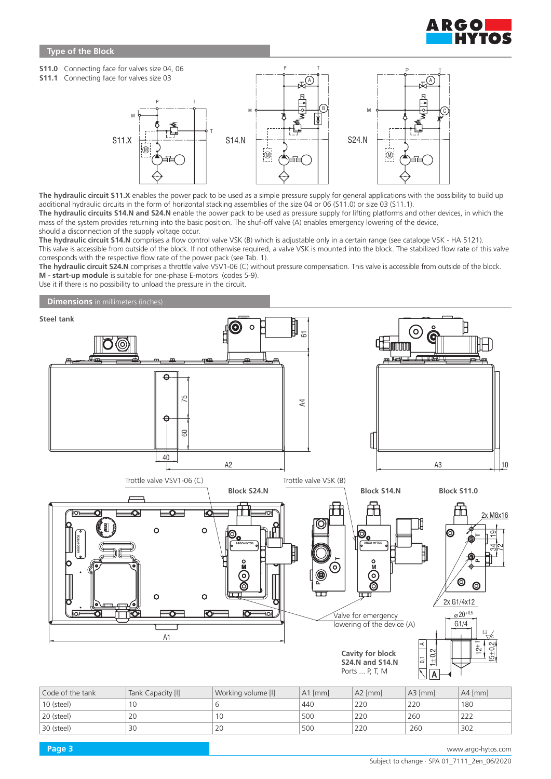

## **Type of the Block**



The hydraulic circuit S11.X enables the power pack to be used as a simple pressure supply for general applications with the possibility to build up additional hydraulic circuits in the form of horizontal stacking assemblies of the size 04 or 06 (S11.0) or size 03 (S11.1). **The hydraulic circuits S14.N and S24.N** enable the power pack to be used as pressure supply for lifting platforms and other devices, in which the mass of the system provides returning into the basic position. The shuf-off valve (A) enables emergency lowering of the device, should a disconnection of the supply voltage occur.

**The hydraulic circuit S14.N** comprises a flow control valve VSK (B) which is adjustable only in a certain range (see cataloge VSK - HA 5121). This valve is accessible from outside of the block. If not otherwise required, a valve VSK is mounted into the block. The stabilized flow rate of this valve corresponds with the respective flow rate of the power pack (see Tab. 1).

The hydraulic circuit S24.N comprises a throttle valve VSV1-06 (C) without pressure compensation. This valve is accessible from outside of the block. **M - start-up module** is suitable for one-phase E-motors (codes 5-9).

Use it if there is no possibility to unload the pressure in the circuit.

**Dimensions** in millimeters (inches)



| Code of the tank | Tank Capacity [I] | Working volume [I] | $A1$ [mm] | $A2$ [mm] | $A3$ [mm] | $A4$ [mm] |
|------------------|-------------------|--------------------|-----------|-----------|-----------|-----------|
| 10 (steel)       | 10                |                    | 440       | 220       | 220       | 180       |
| 20 (steel)       | 20                | 1 C                | 500       | 220       | 260       | 222       |
| 30 (steel)       | 30                | 20                 | 500       | 220       | 260       | 302       |